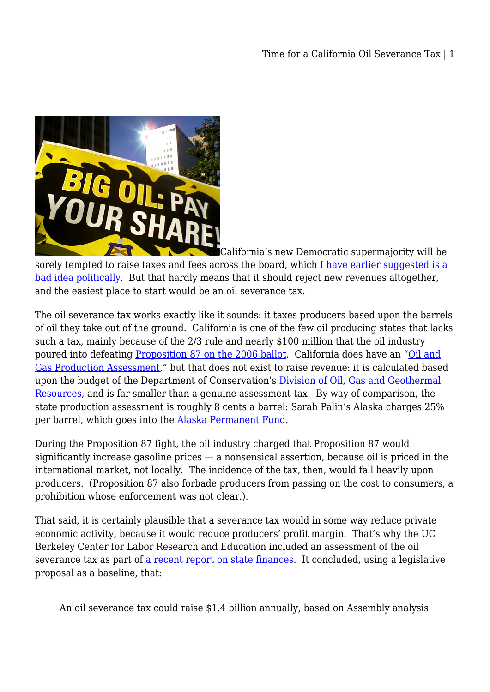

[C](http://legalplanet.wpengine.com/wp-content/uploads/2012/11/oil-severance-tax.jpg)alifornia's new Democratic supermajority will be sorely tempted to raise taxes and fees across the board, which [I have earlier suggested is a](http://legalplanet.wordpress.com/2012/11/12/what-do-you-do-with-a-supermajority-be-very-careful/) [bad idea politically](http://legalplanet.wordpress.com/2012/11/12/what-do-you-do-with-a-supermajority-be-very-careful/). But that hardly means that it should reject new revenues altogether, and the easiest place to start would be an oil severance tax.

The oil severance tax works exactly like it sounds: it taxes producers based upon the barrels of oil they take out of the ground. California is one of the few oil producing states that lacks such a tax, mainly because of the 2/3 rule and nearly \$100 million that the oil industry poured into defeating [Proposition 87 on the 2006 ballot.](http://ballotpedia.org/wiki/index.php/California_Proposition_87,_Alternative_Energy_Oil_Tax_(2006)) California does have an ["Oil and](http://www.conservation.ca.gov/dog/for_operators/Pages/assessments.aspx) [Gas Production Assessment](http://www.conservation.ca.gov/dog/for_operators/Pages/assessments.aspx)," but that does not exist to raise revenue: it is calculated based upon the budget of the Department of Conservation's [Division of Oil, Gas and Geothermal](http://www.conservation.ca.gov/dog/Pages/Index.aspx) [Resources](http://www.conservation.ca.gov/dog/Pages/Index.aspx), and is far smaller than a genuine assessment tax. By way of comparison, the state production assessment is roughly 8 cents a barrel: Sarah Palin's Alaska charges 25% per barrel, which goes into the [Alaska Permanent Fund.](http://legalplanet.wordpress.com/2012/10/29/how-did-alaska-avoid-the-resource-curse-can-anyone-else-do-so/)

During the Proposition 87 fight, the oil industry charged that Proposition 87 would significantly increase gasoline prices — a nonsensical assertion, because oil is priced in the international market, not locally. The incidence of the tax, then, would fall heavily upon producers. (Proposition 87 also forbade producers from passing on the cost to consumers, a prohibition whose enforcement was not clear.).

That said, it is certainly plausible that a severance tax would in some way reduce private economic activity, because it would reduce producers' profit margin. That's why the UC Berkeley Center for Labor Research and Education included an assessment of the oil severance tax as part of [a recent report on state finances.](http://laborcenter.berkeley.edu/californiabudget/budget_impact10.pdf) It concluded, using a legislative proposal as a baseline, that:

An oil severance tax could raise \$1.4 billion annually, based on Assembly analysis